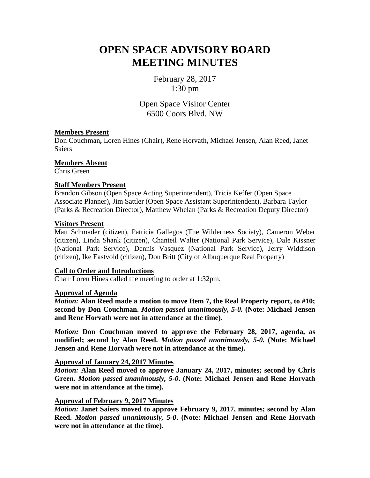# **OPEN SPACE ADVISORY BOARD MEETING MINUTES**

February 28, 2017 1:30 pm

Open Space Visitor Center 6500 Coors Blvd. NW

# **Members Present**

Don Couchman**,** Loren Hines (Chair)**,** Rene Horvath**,** Michael Jensen, Alan Reed**,** Janet **Saiers** 

**Members Absent**

Chris Green

# **Staff Members Present**

Brandon Gibson (Open Space Acting Superintendent), Tricia Keffer (Open Space Associate Planner), Jim Sattler (Open Space Assistant Superintendent), Barbara Taylor (Parks & Recreation Director), Matthew Whelan (Parks & Recreation Deputy Director)

# **Visitors Present**

Matt Schmader (citizen), Patricia Gallegos (The Wilderness Society), Cameron Weber (citizen), Linda Shank (citizen), Chanteil Walter (National Park Service), Dale Kissner (National Park Service), Dennis Vasquez (National Park Service), Jerry Widdison (citizen), Ike Eastvold (citizen), Don Britt (City of Albuquerque Real Property)

# **Call to Order and Introductions**

Chair Loren Hines called the meeting to order at 1:32pm.

#### **Approval of Agenda**

*Motion:* **Alan Reed made a motion to move Item 7, the Real Property report, to #10; second by Don Couchman.** *Motion passed unanimously, 5-0.* **(Note: Michael Jensen and Rene Horvath were not in attendance at the time).**

*Motion:* **Don Couchman moved to approve the February 28, 2017, agenda, as modified; second by Alan Reed.** *Motion passed unanimously, 5-0***. (Note: Michael Jensen and Rene Horvath were not in attendance at the time).**

# **Approval of January 24, 2017 Minutes**

*Motion:* **Alan Reed moved to approve January 24, 2017, minutes; second by Chris Green.** *Motion passed unanimously, 5-0***. (Note: Michael Jensen and Rene Horvath were not in attendance at the time).**

#### **Approval of February 9, 2017 Minutes**

*Motion:* **Janet Saiers moved to approve February 9, 2017, minutes; second by Alan Reed.** *Motion passed unanimously, 5-0***. (Note: Michael Jensen and Rene Horvath were not in attendance at the time).**